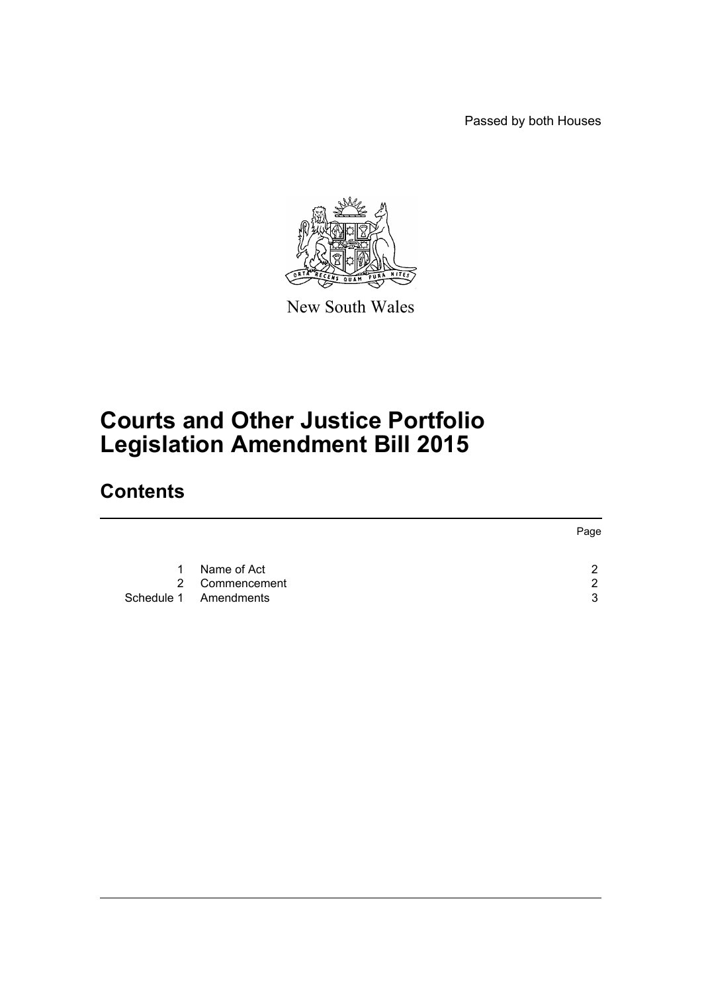Passed by both Houses



New South Wales

## **Courts and Other Justice Portfolio Legislation Amendment Bill 2015**

## **Contents**

|    |                       | Page |
|----|-----------------------|------|
| 1. | Name of Act           | າ    |
|    | 2 Commencement        | 2    |
|    | Schedule 1 Amendments | 3    |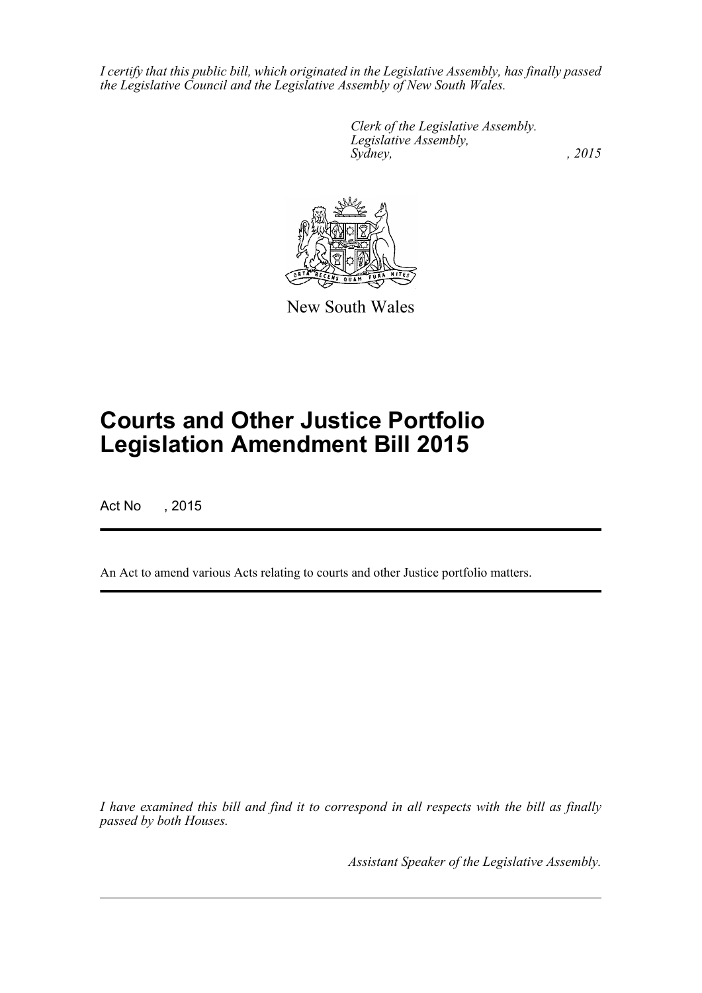*I certify that this public bill, which originated in the Legislative Assembly, has finally passed the Legislative Council and the Legislative Assembly of New South Wales.*

> *Clerk of the Legislative Assembly. Legislative Assembly, Sydney,* , 2015



New South Wales

# **Courts and Other Justice Portfolio Legislation Amendment Bill 2015**

Act No , 2015

An Act to amend various Acts relating to courts and other Justice portfolio matters.

*I have examined this bill and find it to correspond in all respects with the bill as finally passed by both Houses.*

*Assistant Speaker of the Legislative Assembly.*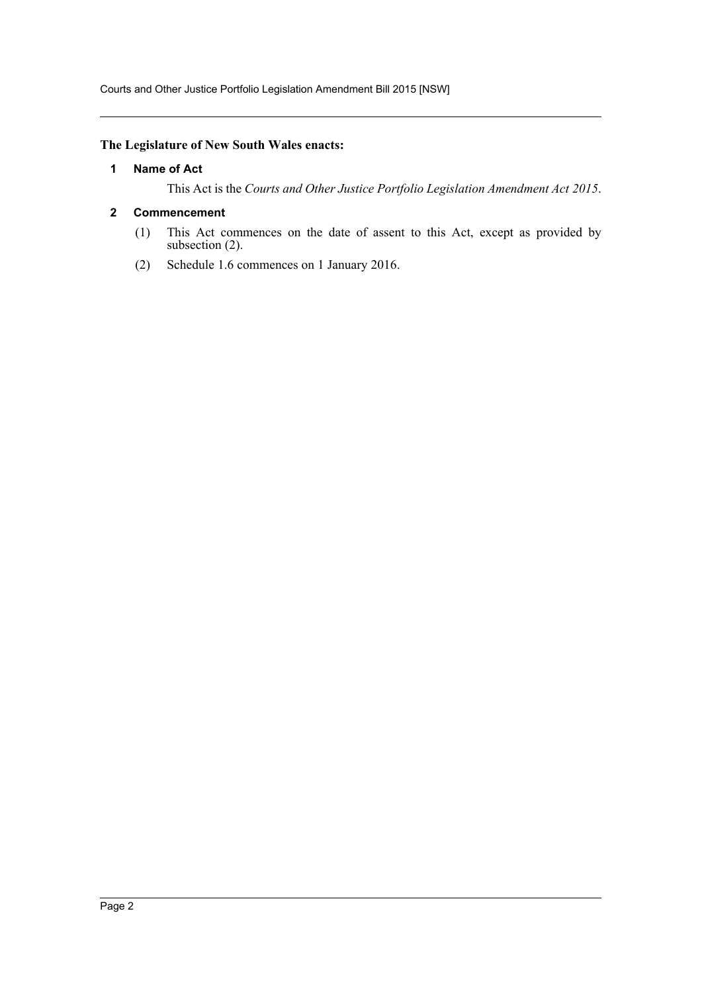Courts and Other Justice Portfolio Legislation Amendment Bill 2015 [NSW]

## <span id="page-2-0"></span>**The Legislature of New South Wales enacts:**

## **1 Name of Act**

This Act is the *Courts and Other Justice Portfolio Legislation Amendment Act 2015*.

## <span id="page-2-1"></span>**2 Commencement**

- (1) This Act commences on the date of assent to this Act, except as provided by subsection (2).
- (2) Schedule 1.6 commences on 1 January 2016.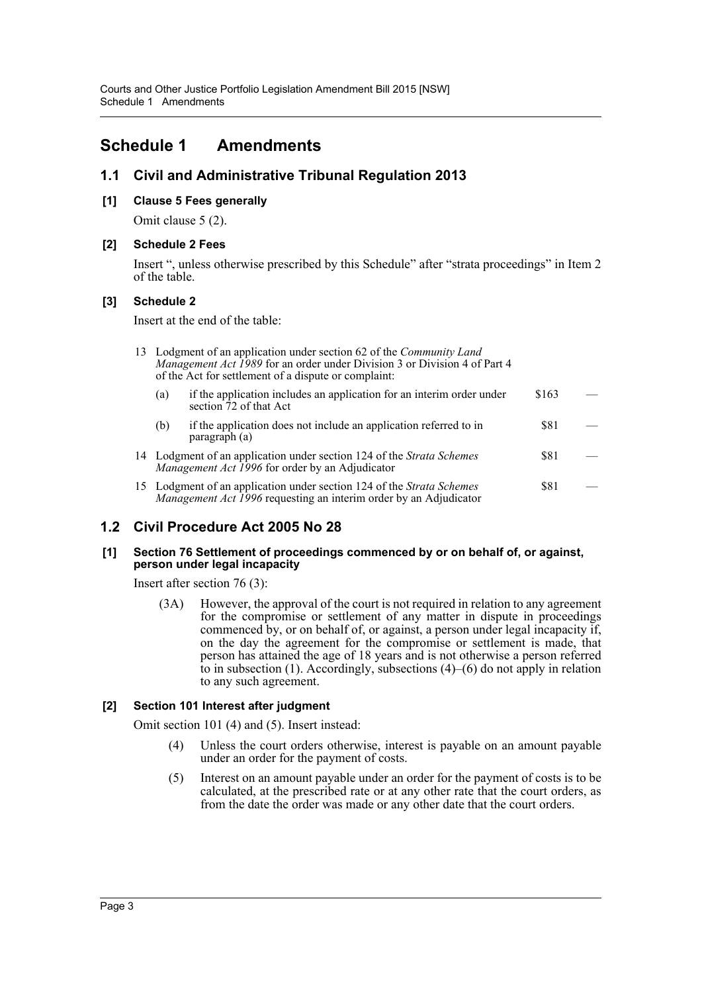## <span id="page-3-0"></span>**Schedule 1 Amendments**

## **1.1 Civil and Administrative Tribunal Regulation 2013**

## **[1] Clause 5 Fees generally**

Omit clause 5 (2).

#### **[2] Schedule 2 Fees**

Insert ", unless otherwise prescribed by this Schedule" after "strata proceedings" in Item 2 of the table.

#### **[3] Schedule 2**

Insert at the end of the table:

|     | 13 Lodgment of an application under section 62 of the Community Land<br><i>Management Act 1989</i> for an order under Division 3 or Division 4 of Part 4<br>of the Act for settlement of a dispute or complaint: |       |  |  |  |
|-----|------------------------------------------------------------------------------------------------------------------------------------------------------------------------------------------------------------------|-------|--|--|--|
| (a) | if the application includes an application for an interim order under<br>section 72 of that Act                                                                                                                  | \$163 |  |  |  |
| (b) | if the application does not include an application referred to in<br>paragraph (a)                                                                                                                               | \$81  |  |  |  |
|     | 14 Lodgment of an application under section 124 of the Strata Schemes<br>Management Act 1996 for order by an Adjudicator                                                                                         | \$81  |  |  |  |
|     |                                                                                                                                                                                                                  | ሰ01   |  |  |  |

| 15 Lodgment of an application under section 124 of the Strata Schemes    | <b>S81</b> | $\sim$ |
|--------------------------------------------------------------------------|------------|--------|
| <i>Management Act 1996</i> requesting an interim order by an Adjudicator |            |        |

## **1.2 Civil Procedure Act 2005 No 28**

#### **[1] Section 76 Settlement of proceedings commenced by or on behalf of, or against, person under legal incapacity**

Insert after section 76 (3):

(3A) However, the approval of the court is not required in relation to any agreement for the compromise or settlement of any matter in dispute in proceedings commenced by, or on behalf of, or against, a person under legal incapacity if, on the day the agreement for the compromise or settlement is made, that person has attained the age of 18 years and is not otherwise a person referred to in subsection (1). Accordingly, subsections (4)–(6) do not apply in relation to any such agreement.

## **[2] Section 101 Interest after judgment**

Omit section 101 (4) and (5). Insert instead:

- (4) Unless the court orders otherwise, interest is payable on an amount payable under an order for the payment of costs.
- (5) Interest on an amount payable under an order for the payment of costs is to be calculated, at the prescribed rate or at any other rate that the court orders, as from the date the order was made or any other date that the court orders.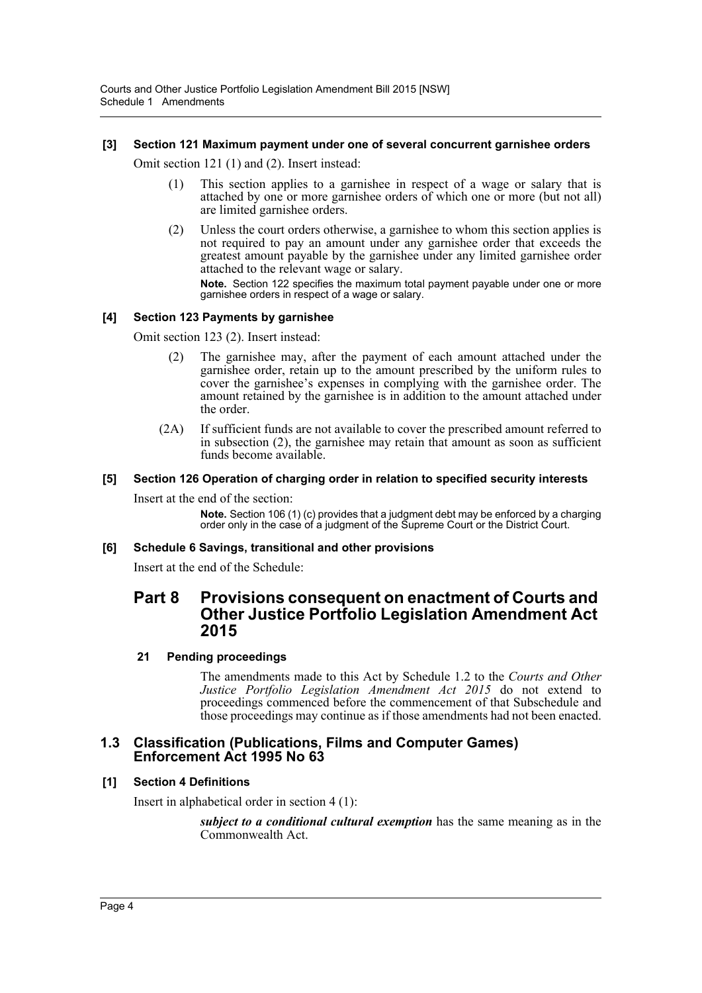## **[3] Section 121 Maximum payment under one of several concurrent garnishee orders**

Omit section 121 (1) and (2). Insert instead:

- (1) This section applies to a garnishee in respect of a wage or salary that is attached by one or more garnishee orders of which one or more (but not all) are limited garnishee orders.
- (2) Unless the court orders otherwise, a garnishee to whom this section applies is not required to pay an amount under any garnishee order that exceeds the greatest amount payable by the garnishee under any limited garnishee order attached to the relevant wage or salary.

**Note.** Section 122 specifies the maximum total payment payable under one or more garnishee orders in respect of a wage or salary.

## **[4] Section 123 Payments by garnishee**

Omit section 123 (2). Insert instead:

- (2) The garnishee may, after the payment of each amount attached under the garnishee order, retain up to the amount prescribed by the uniform rules to cover the garnishee's expenses in complying with the garnishee order. The amount retained by the garnishee is in addition to the amount attached under the order.
- (2A) If sufficient funds are not available to cover the prescribed amount referred to in subsection (2), the garnishee may retain that amount as soon as sufficient funds become available.

## **[5] Section 126 Operation of charging order in relation to specified security interests**

Insert at the end of the section:

**Note.** Section 106 (1) (c) provides that a judgment debt may be enforced by a charging order only in the case of a judgment of the Supreme Court or the District Court.

#### **[6] Schedule 6 Savings, transitional and other provisions**

Insert at the end of the Schedule:

## **Part 8 Provisions consequent on enactment of Courts and Other Justice Portfolio Legislation Amendment Act 2015**

## **21 Pending proceedings**

The amendments made to this Act by Schedule 1.2 to the *Courts and Other Justice Portfolio Legislation Amendment Act 2015* do not extend to proceedings commenced before the commencement of that Subschedule and those proceedings may continue as if those amendments had not been enacted.

## **1.3 Classification (Publications, Films and Computer Games) Enforcement Act 1995 No 63**

## **[1] Section 4 Definitions**

Insert in alphabetical order in section 4 (1):

*subject to a conditional cultural exemption* has the same meaning as in the Commonwealth Act.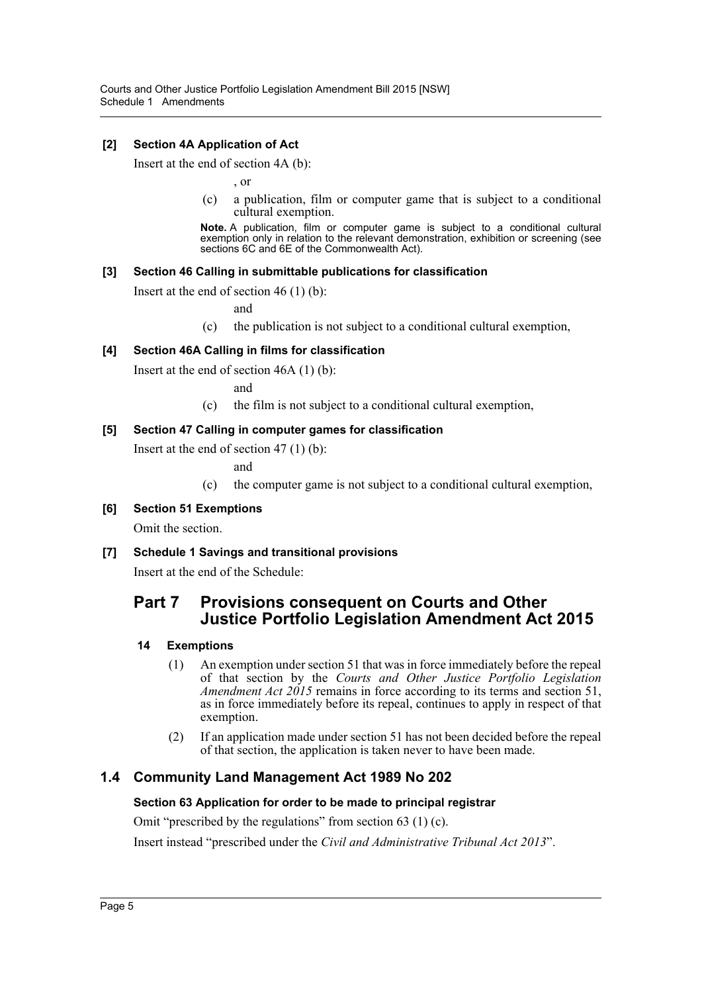## **[2] Section 4A Application of Act**

Insert at the end of section 4A (b):

, or

(c) a publication, film or computer game that is subject to a conditional cultural exemption.

**Note.** A publication, film or computer game is subject to a conditional cultural exemption only in relation to the relevant demonstration, exhibition or screening (see sections 6C and 6E of the Commonwealth Act).

## **[3] Section 46 Calling in submittable publications for classification**

Insert at the end of section 46 (1) (b):

and

(c) the publication is not subject to a conditional cultural exemption,

## **[4] Section 46A Calling in films for classification**

Insert at the end of section 46A (1) (b):

and

(c) the film is not subject to a conditional cultural exemption,

## **[5] Section 47 Calling in computer games for classification**

Insert at the end of section 47 (1) (b):

and

- (c) the computer game is not subject to a conditional cultural exemption,
- **[6] Section 51 Exemptions**

Omit the section.

**[7] Schedule 1 Savings and transitional provisions**

Insert at the end of the Schedule:

## **Part 7 Provisions consequent on Courts and Other Justice Portfolio Legislation Amendment Act 2015**

#### **14 Exemptions**

- (1) An exemption under section 51 that was in force immediately before the repeal of that section by the *Courts and Other Justice Portfolio Legislation Amendment Act 2015* remains in force according to its terms and section 51, as in force immediately before its repeal, continues to apply in respect of that exemption.
- (2) If an application made under section 51 has not been decided before the repeal of that section, the application is taken never to have been made.

## **1.4 Community Land Management Act 1989 No 202**

#### **Section 63 Application for order to be made to principal registrar**

Omit "prescribed by the regulations" from section 63 (1) (c).

Insert instead "prescribed under the *Civil and Administrative Tribunal Act 2013*".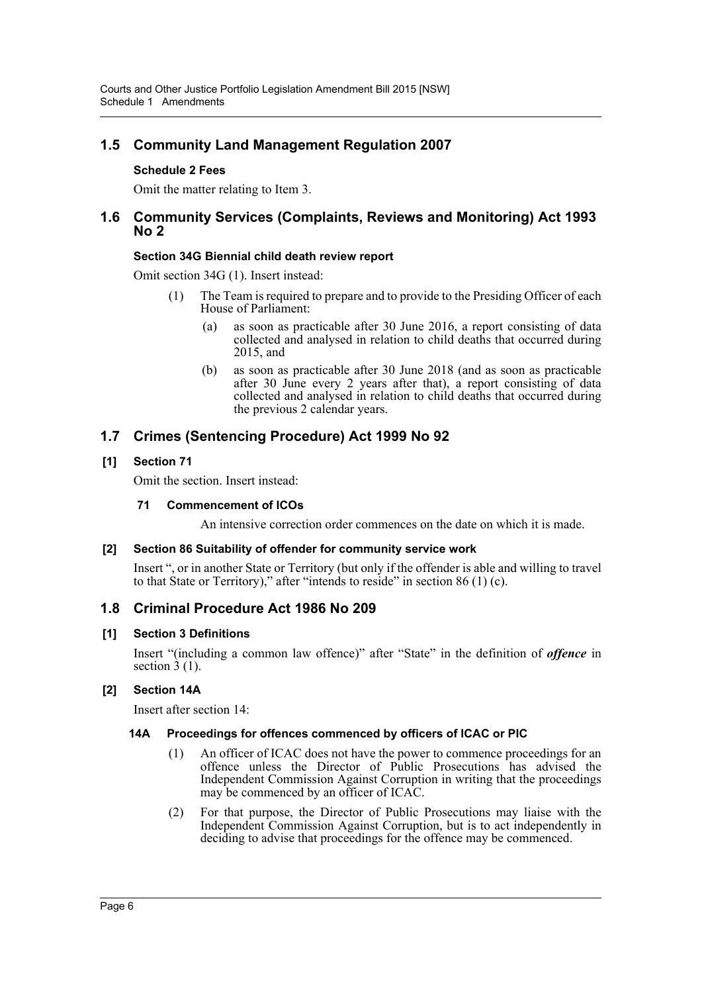## **1.5 Community Land Management Regulation 2007**

## **Schedule 2 Fees**

Omit the matter relating to Item 3.

## **1.6 Community Services (Complaints, Reviews and Monitoring) Act 1993 No 2**

## **Section 34G Biennial child death review report**

Omit section 34G (1). Insert instead:

- (1) The Team is required to prepare and to provide to the Presiding Officer of each House of Parliament:
	- (a) as soon as practicable after 30 June 2016, a report consisting of data collected and analysed in relation to child deaths that occurred during 2015, and
	- (b) as soon as practicable after 30 June 2018 (and as soon as practicable after 30 June every 2 years after that), a report consisting of data collected and analysed in relation to child deaths that occurred during the previous 2 calendar years.

## **1.7 Crimes (Sentencing Procedure) Act 1999 No 92**

## **[1] Section 71**

Omit the section. Insert instead:

#### **71 Commencement of ICOs**

An intensive correction order commences on the date on which it is made.

#### **[2] Section 86 Suitability of offender for community service work**

Insert ", or in another State or Territory (but only if the offender is able and willing to travel to that State or Territory)," after "intends to reside" in section 86 (1) (c).

## **1.8 Criminal Procedure Act 1986 No 209**

#### **[1] Section 3 Definitions**

Insert "(including a common law offence)" after "State" in the definition of *offence* in section  $\hat{3}$  (1).

## **[2] Section 14A**

Insert after section 14:

## **14A Proceedings for offences commenced by officers of ICAC or PIC**

- (1) An officer of ICAC does not have the power to commence proceedings for an offence unless the Director of Public Prosecutions has advised the Independent Commission Against Corruption in writing that the proceedings may be commenced by an officer of ICAC.
- (2) For that purpose, the Director of Public Prosecutions may liaise with the Independent Commission Against Corruption, but is to act independently in deciding to advise that proceedings for the offence may be commenced.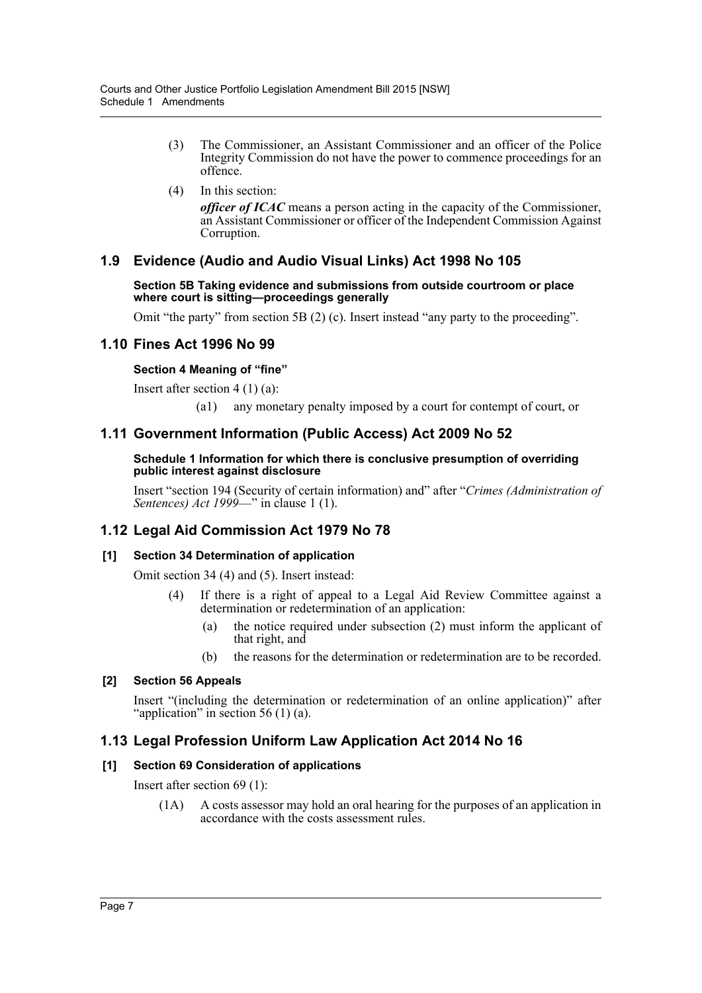- (3) The Commissioner, an Assistant Commissioner and an officer of the Police Integrity Commission do not have the power to commence proceedings for an offence.
- (4) In this section:

*officer of ICAC* means a person acting in the capacity of the Commissioner, an Assistant Commissioner or officer of the Independent Commission Against Corruption.

## **1.9 Evidence (Audio and Audio Visual Links) Act 1998 No 105**

**Section 5B Taking evidence and submissions from outside courtroom or place where court is sitting—proceedings generally**

Omit "the party" from section 5B (2) (c). Insert instead "any party to the proceeding".

## **1.10 Fines Act 1996 No 99**

## **Section 4 Meaning of "fine"**

Insert after section 4 (1) (a):

(a1) any monetary penalty imposed by a court for contempt of court, or

## **1.11 Government Information (Public Access) Act 2009 No 52**

#### **Schedule 1 Information for which there is conclusive presumption of overriding public interest against disclosure**

Insert "section 194 (Security of certain information) and" after "*Crimes (Administration of Sentences) Act 1999*—" in clause 1 (1).

## **1.12 Legal Aid Commission Act 1979 No 78**

## **[1] Section 34 Determination of application**

Omit section 34 (4) and (5). Insert instead:

- (4) If there is a right of appeal to a Legal Aid Review Committee against a determination or redetermination of an application:
	- (a) the notice required under subsection (2) must inform the applicant of that right, and
	- (b) the reasons for the determination or redetermination are to be recorded.

## **[2] Section 56 Appeals**

Insert "(including the determination or redetermination of an online application)" after "application" in section 56  $(1)$  (a).

## **1.13 Legal Profession Uniform Law Application Act 2014 No 16**

#### **[1] Section 69 Consideration of applications**

Insert after section 69 (1):

(1A) A costs assessor may hold an oral hearing for the purposes of an application in accordance with the costs assessment rules.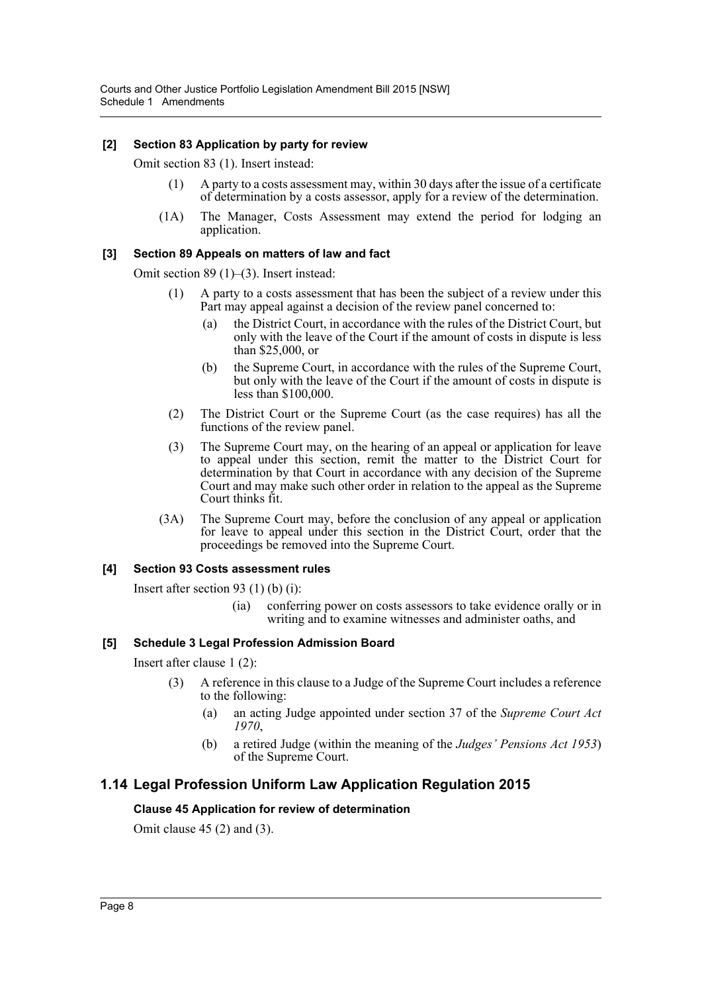#### **[2] Section 83 Application by party for review**

Omit section 83 (1). Insert instead:

- (1) A party to a costs assessment may, within 30 days after the issue of a certificate of determination by a costs assessor, apply for a review of the determination.
- (1A) The Manager, Costs Assessment may extend the period for lodging an application.

## **[3] Section 89 Appeals on matters of law and fact**

Omit section 89 (1)–(3). Insert instead:

- (1) A party to a costs assessment that has been the subject of a review under this Part may appeal against a decision of the review panel concerned to:
	- (a) the District Court, in accordance with the rules of the District Court, but only with the leave of the Court if the amount of costs in dispute is less than \$25,000, or
	- (b) the Supreme Court, in accordance with the rules of the Supreme Court, but only with the leave of the Court if the amount of costs in dispute is less than \$100,000.
- (2) The District Court or the Supreme Court (as the case requires) has all the functions of the review panel.
- (3) The Supreme Court may, on the hearing of an appeal or application for leave to appeal under this section, remit the matter to the District Court for determination by that Court in accordance with any decision of the Supreme Court and may make such other order in relation to the appeal as the Supreme Court thinks fit.
- (3A) The Supreme Court may, before the conclusion of any appeal or application for leave to appeal under this section in the District Court, order that the proceedings be removed into the Supreme Court.

#### **[4] Section 93 Costs assessment rules**

Insert after section 93 (1) (b) (i):

(ia) conferring power on costs assessors to take evidence orally or in writing and to examine witnesses and administer oaths, and

#### **[5] Schedule 3 Legal Profession Admission Board**

Insert after clause 1 (2):

- (3) A reference in this clause to a Judge of the Supreme Court includes a reference to the following:
	- (a) an acting Judge appointed under section 37 of the *Supreme Court Act 1970*,
	- (b) a retired Judge (within the meaning of the *Judges' Pensions Act 1953*) of the Supreme Court.

## **1.14 Legal Profession Uniform Law Application Regulation 2015**

#### **Clause 45 Application for review of determination**

Omit clause 45 (2) and (3).